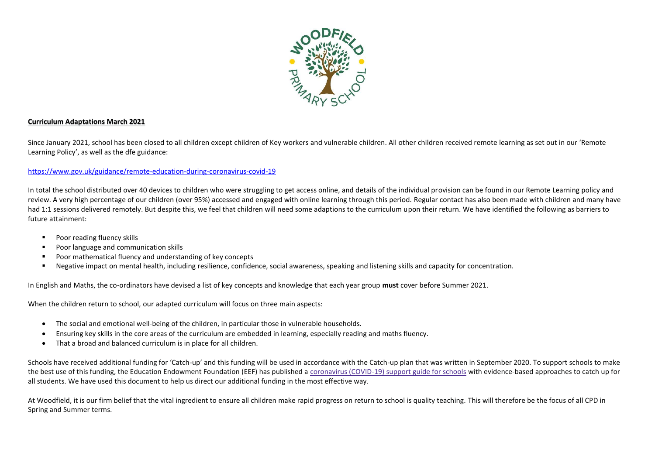

## **Curriculum Adaptations March 2021**

Since January 2021, school has been closed to all children except children of Key workers and vulnerable children. All other children received remote learning as set out in our 'Remote Learning Policy', as well as the dfe guidance:

## <https://www.gov.uk/guidance/remote-education-during-coronavirus-covid-19>

In total the school distributed over 40 devices to children who were struggling to get access online, and details of the individual provision can be found in our Remote Learning policy and review. A very high percentage of our children (over 95%) accessed and engaged with online learning through this period. Regular contact has also been made with children and many have had 1:1 sessions delivered remotely. But despite this, we feel that children will need some adaptions to the curriculum upon their return. We have identified the following as barriers to future attainment:

- **Poor reading fluency skills**
- Poor language and communication skills
- Poor mathematical fluency and understanding of key concepts
- Negative impact on mental health, including resilience, confidence, social awareness, speaking and listening skills and capacity for concentration.

In English and Maths, the co-ordinators have devised a list of key concepts and knowledge that each year group **must** cover before Summer 2021.

When the children return to school, our adapted curriculum will focus on three main aspects:

- The social and emotional well-being of the children, in particular those in vulnerable households.
- Ensuring key skills in the core areas of the curriculum are embedded in learning, especially reading and maths fluency.
- That a broad and balanced curriculum is in place for all children.

Schools have received additional funding for 'Catch-up' and this funding will be used in accordance with the Catch-up plan that was written in September 2020. To support schools to make the best use of this funding, the Education Endowment Foundation (EEF) has published a [coronavirus \(COVID-19\) support guide for schools](https://educationendowmentfoundation.org.uk/covid-19-resources/covid-19-support-guide-for-schools/#nav-covid-19-support-guide-for-schools1) with evidence-based approaches to catch up for all students. We have used this document to help us direct our additional funding in the most effective way.

At Woodfield, it is our firm belief that the vital ingredient to ensure all children make rapid progress on return to school is quality teaching. This will therefore be the focus of all CPD in Spring and Summer terms.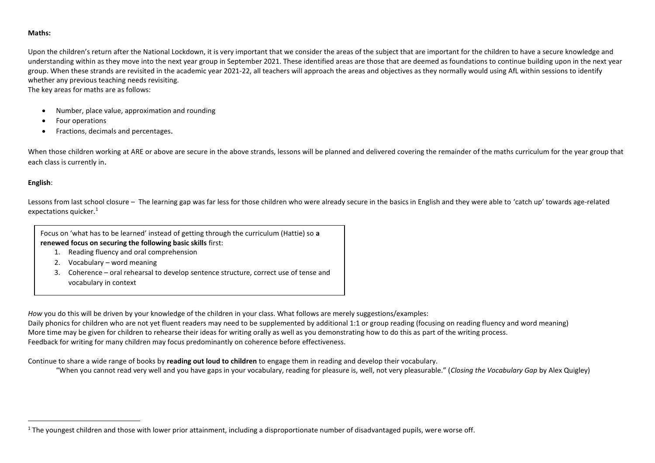## **Maths:**

Upon the children's return after the National Lockdown, it is very important that we consider the areas of the subject that are important for the children to have a secure knowledge and understanding within as they move into the next year group in September 2021. These identified areas are those that are deemed as foundations to continue building upon in the next year group. When these strands are revisited in the academic year 2021-22, all teachers will approach the areas and objectives as they normally would using AfL within sessions to identify whether any previous teaching needs revisiting.

The key areas for maths are as follows:

- Number, place value, approximation and rounding
- Four operations
- Fractions, decimals and percentages.

When those children working at ARE or above are secure in the above strands, lessons will be planned and delivered covering the remainder of the maths curriculum for the year group that each class is currently in.

## **English**:

 $\overline{a}$ 

Lessons from last school closure – The learning gap was far less for those children who were already secure in the basics in English and they were able to 'catch up' towards age-related expectations quicker.<sup>1</sup>



- 1. Reading fluency and oral comprehension
- 2. Vocabulary word meaning
- 3. Coherence oral rehearsal to develop sentence structure, correct use of tense and vocabulary in context

*How* you do this will be driven by your knowledge of the children in your class. What follows are merely suggestions/examples:

Daily phonics for children who are not yet fluent readers may need to be supplemented by additional 1:1 or group reading (focusing on reading fluency and word meaning) More time may be given for children to rehearse their ideas for writing orally as well as you demonstrating how to do this as part of the writing process. Feedback for writing for many children may focus predominantly on coherence before effectiveness.

Continue to share a wide range of books by **reading out loud to children** to engage them in reading and develop their vocabulary.

"When you cannot read very well and you have gaps in your vocabulary, reading for pleasure is, well, not very pleasurable." (*Closing the Vocabulary Gap* by Alex Quigley)

 $1$  The youngest children and those with lower prior attainment, including a disproportionate number of disadvantaged pupils, were worse off.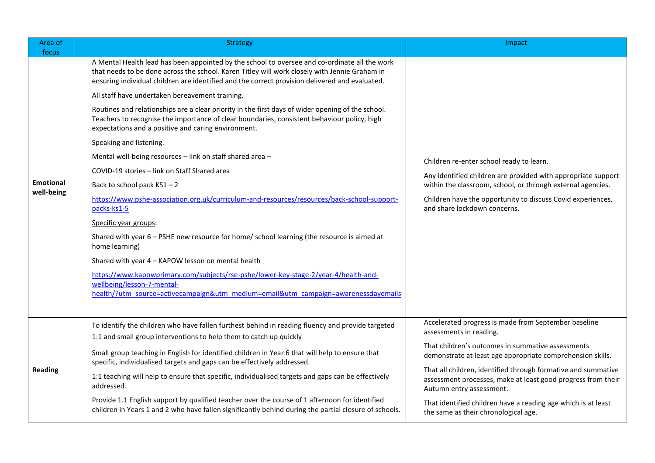| Area of<br>focus               | <b>Strategy</b>                                                                                                                                                                                                                                                                                  | Impact                                                                                                                                                    |
|--------------------------------|--------------------------------------------------------------------------------------------------------------------------------------------------------------------------------------------------------------------------------------------------------------------------------------------------|-----------------------------------------------------------------------------------------------------------------------------------------------------------|
| <b>Emotional</b><br>well-being | A Mental Health lead has been appointed by the school to oversee and co-ordinate all the work<br>that needs to be done across the school. Karen Titley will work closely with Jennie Graham in<br>ensuring individual children are identified and the correct provision delivered and evaluated. |                                                                                                                                                           |
|                                | All staff have undertaken bereavement training.                                                                                                                                                                                                                                                  |                                                                                                                                                           |
|                                | Routines and relationships are a clear priority in the first days of wider opening of the school.<br>Teachers to recognise the importance of clear boundaries, consistent behaviour policy, high<br>expectations and a positive and caring environment.                                          |                                                                                                                                                           |
|                                | Speaking and listening.                                                                                                                                                                                                                                                                          |                                                                                                                                                           |
|                                | Mental well-being resources - link on staff shared area -                                                                                                                                                                                                                                        | Children re-enter school ready to learn.                                                                                                                  |
|                                | COVID-19 stories - link on Staff Shared area                                                                                                                                                                                                                                                     | Any identified children are provided with appropriate support                                                                                             |
|                                | Back to school pack KS1-2                                                                                                                                                                                                                                                                        | within the classroom, school, or through external agencies.                                                                                               |
|                                | https://www.pshe-association.org.uk/curriculum-and-resources/resources/back-school-support-<br>packs-ks1-5                                                                                                                                                                                       | Children have the opportunity to discuss Covid experiences,<br>and share lockdown concerns.                                                               |
|                                | Specific year groups:                                                                                                                                                                                                                                                                            |                                                                                                                                                           |
|                                | Shared with year 6 - PSHE new resource for home/ school learning (the resource is aimed at<br>home learning)                                                                                                                                                                                     |                                                                                                                                                           |
|                                | Shared with year 4 - KAPOW lesson on mental health                                                                                                                                                                                                                                               |                                                                                                                                                           |
|                                | https://www.kapowprimary.com/subjects/rse-pshe/lower-key-stage-2/year-4/health-and-                                                                                                                                                                                                              |                                                                                                                                                           |
|                                | wellbeing/lesson-7-mental-<br>health/?utm_source=activecampaign&utm_medium=email&utm_campaign=awarenessdayemails                                                                                                                                                                                 |                                                                                                                                                           |
|                                |                                                                                                                                                                                                                                                                                                  |                                                                                                                                                           |
| <b>Reading</b>                 | To identify the children who have fallen furthest behind in reading fluency and provide targeted                                                                                                                                                                                                 | Accelerated progress is made from September baseline                                                                                                      |
|                                | 1:1 and small group interventions to help them to catch up quickly                                                                                                                                                                                                                               | assessments in reading.                                                                                                                                   |
|                                | Small group teaching in English for identified children in Year 6 that will help to ensure that<br>specific, individualised targets and gaps can be effectively addressed.                                                                                                                       | That children's outcomes in summative assessments<br>demonstrate at least age appropriate comprehension skills.                                           |
|                                | 1:1 teaching will help to ensure that specific, individualised targets and gaps can be effectively<br>addressed.                                                                                                                                                                                 | That all children, identified through formative and summative<br>assessment processes, make at least good progress from their<br>Autumn entry assessment. |
|                                | Provide 1.1 English support by qualified teacher over the course of 1 afternoon for identified<br>children in Years 1 and 2 who have fallen significantly behind during the partial closure of schools.                                                                                          | That identified children have a reading age which is at least<br>the same as their chronological age.                                                     |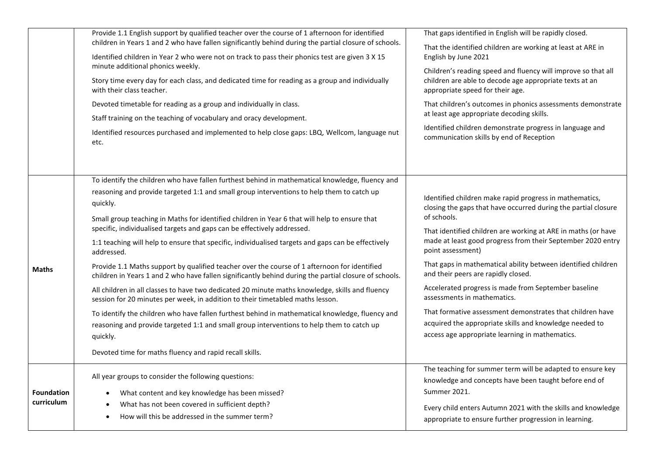|                                 | Provide 1.1 English support by qualified teacher over the course of 1 afternoon for identified<br>children in Years 1 and 2 who have fallen significantly behind during the partial closure of schools.                                             | That gaps identified in English will be rapidly closed.<br>That the identified children are working at least at ARE in<br>English by June 2021                                                                   |  |                                                                                                 |  |
|---------------------------------|-----------------------------------------------------------------------------------------------------------------------------------------------------------------------------------------------------------------------------------------------------|------------------------------------------------------------------------------------------------------------------------------------------------------------------------------------------------------------------|--|-------------------------------------------------------------------------------------------------|--|
|                                 | Identified children in Year 2 who were not on track to pass their phonics test are given 3 X 15                                                                                                                                                     |                                                                                                                                                                                                                  |  |                                                                                                 |  |
|                                 | minute additional phonics weekly.<br>Story time every day for each class, and dedicated time for reading as a group and individually<br>with their class teacher.                                                                                   | Children's reading speed and fluency will improve so that all<br>children are able to decode age appropriate texts at an<br>appropriate speed for their age.                                                     |  |                                                                                                 |  |
|                                 | Devoted timetable for reading as a group and individually in class.<br>Staff training on the teaching of vocabulary and oracy development.<br>Identified resources purchased and implemented to help close gaps: LBQ, Wellcom, language nut<br>etc. | That children's outcomes in phonics assessments demonstrate<br>at least age appropriate decoding skills.<br>Identified children demonstrate progress in language and<br>communication skills by end of Reception |  |                                                                                                 |  |
|                                 |                                                                                                                                                                                                                                                     |                                                                                                                                                                                                                  |  |                                                                                                 |  |
|                                 |                                                                                                                                                                                                                                                     |                                                                                                                                                                                                                  |  | To identify the children who have fallen furthest behind in mathematical knowledge, fluency and |  |
|                                 | reasoning and provide targeted 1:1 and small group interventions to help them to catch up                                                                                                                                                           | Identified children make rapid progress in mathematics,                                                                                                                                                          |  |                                                                                                 |  |
|                                 | quickly.                                                                                                                                                                                                                                            | closing the gaps that have occurred during the partial closure                                                                                                                                                   |  |                                                                                                 |  |
|                                 | Small group teaching in Maths for identified children in Year 6 that will help to ensure that<br>specific, individualised targets and gaps can be effectively addressed.                                                                            | of schools.<br>That identified children are working at ARE in maths (or have                                                                                                                                     |  |                                                                                                 |  |
|                                 | 1:1 teaching will help to ensure that specific, individualised targets and gaps can be effectively<br>addressed.                                                                                                                                    | made at least good progress from their September 2020 entry<br>point assessment)                                                                                                                                 |  |                                                                                                 |  |
| <b>Maths</b>                    | Provide 1.1 Maths support by qualified teacher over the course of 1 afternoon for identified<br>children in Years 1 and 2 who have fallen significantly behind during the partial closure of schools.                                               | That gaps in mathematical ability between identified children<br>and their peers are rapidly closed.                                                                                                             |  |                                                                                                 |  |
|                                 | All children in all classes to have two dedicated 20 minute maths knowledge, skills and fluency<br>session for 20 minutes per week, in addition to their timetabled maths lesson.                                                                   | Accelerated progress is made from September baseline<br>assessments in mathematics.                                                                                                                              |  |                                                                                                 |  |
|                                 | To identify the children who have fallen furthest behind in mathematical knowledge, fluency and                                                                                                                                                     | That formative assessment demonstrates that children have                                                                                                                                                        |  |                                                                                                 |  |
|                                 | reasoning and provide targeted 1:1 and small group interventions to help them to catch up<br>quickly.                                                                                                                                               | acquired the appropriate skills and knowledge needed to<br>access age appropriate learning in mathematics.                                                                                                       |  |                                                                                                 |  |
|                                 |                                                                                                                                                                                                                                                     |                                                                                                                                                                                                                  |  |                                                                                                 |  |
|                                 | Devoted time for maths fluency and rapid recall skills.                                                                                                                                                                                             |                                                                                                                                                                                                                  |  |                                                                                                 |  |
|                                 | All year groups to consider the following questions:                                                                                                                                                                                                | The teaching for summer term will be adapted to ensure key<br>knowledge and concepts have been taught before end of                                                                                              |  |                                                                                                 |  |
| <b>Foundation</b><br>curriculum | What content and key knowledge has been missed?                                                                                                                                                                                                     | Summer 2021.                                                                                                                                                                                                     |  |                                                                                                 |  |
|                                 | What has not been covered in sufficient depth?                                                                                                                                                                                                      | Every child enters Autumn 2021 with the skills and knowledge                                                                                                                                                     |  |                                                                                                 |  |
|                                 | How will this be addressed in the summer term?<br>$\bullet$                                                                                                                                                                                         | appropriate to ensure further progression in learning.                                                                                                                                                           |  |                                                                                                 |  |